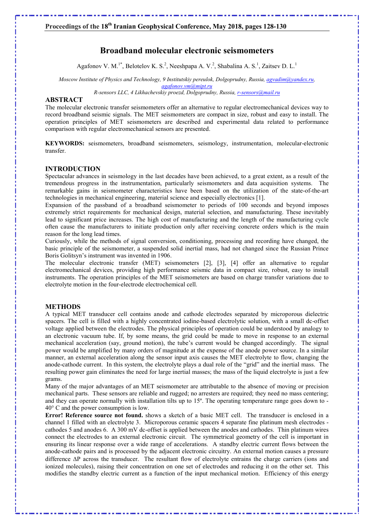# Broadband molecular electronic seismometers

Agafonov V. M.<sup>1\*</sup>, Belotelov K. S.<sup>2</sup>, Neeshpapa A. V.<sup>2</sup>, Shabalina A. S.<sup>1</sup>, Zaitsev D. L.<sup>1</sup>

Moscow Institute of Physics and Technology, 9 Institutskiy pereulok, Dolgoprudny, Russia, agyadim@yandex.ru, agafonov.vm@mipt.ru

R-sensors LLC, 4 Likhachevskiy proezd, Dolgoprudny, Russia, r-sensors@mail.ru

## ABSTRACT

The molecular electronic transfer seismometers offer an alternative to regular electromechanical devices way to record broadband seismic signals. The MET seismometers are compact in size, robust and easy to install. The operation principles of MET seismometers are described and experimental data related to performance comparison with regular electromechanical sensors are presented.

KEYWORDS: seismometers, broadband seismometers, seismology, instrumentation, molecular-electronic transfer.

## INTRODUCTION

Spectacular advances in seismology in the last decades have been achieved, to a great extent, as a result of the tremendous progress in the instrumentation, particularly seismometers and data acquisition systems. The remarkable gains in seismometer characteristics have been based on the utilization of the state-of-the-art technologies in mechanical engineering, material science and especially electronics [1].

Expansion of the passband of a broadband seismometer to periods of 100 seconds and beyond imposes extremely strict requirements for mechanical design, material selection, and manufacturing. These inevitably lead to significant price increases. The high cost of manufacturing and the length of the manufacturing cycle often cause the manufacturers to initiate production only after receiving concrete orders which is the main reason for the long lead times.

Curiously, while the methods of signal conversion, conditioning, processing and recording have changed, the basic principle of the seismometer, a suspended solid inertial mass, had not changed since the Russian Prince Boris Golitsyn's instrument was invented in 1906.

The molecular electronic transfer (MET) seismometers [2], [3], [4] offer an alternative to regular electromechanical devices, providing high performance seismic data in compact size, robust, easy to install instruments. The operation principles of the MET seismometers are based on charge transfer variations due to electrolyte motion in the four-electrode electrochemical cell.

#### METHODS

A typical MET transducer cell contains anode and cathode electrodes separated by microporous dielectric spacers. The cell is filled with a highly concentrated iodine-based electrolytic solution, with a small dc-offset voltage applied between the electrodes. The physical principles of operation could be understood by analogy to an electronic vacuum tube. If, by some means, the grid could be made to move in response to an external mechanical acceleration (say, ground motion), the tube's current would be changed accordingly. The signal power would be amplified by many orders of magnitude at the expense of the anode power source. In a similar manner, an external acceleration along the sensor input axis causes the MET electrolyte to flow, changing the anode-cathode current. In this system, the electrolyte plays a dual role of the "grid" and the inertial mass. The resulting power gain eliminates the need for large inertial masses; the mass of the liquid electrolyte is just a few grams.

Many of the major advantages of an MET seismometer are attributable to the absence of moving or precision mechanical parts. These sensors are reliable and rugged; no arresters are required; they need no mass centering; and they can operate normally with installation tilts up to 15º. The operating temperature range goes down to - 40° C and the power consumption is low.

Error! Reference source not found. shows a sketch of a basic MET cell. The transducer is enclosed in a channel 1 filled with an electrolyte 3. Microporous ceramic spacers 4 separate fine platinum mesh electrodes cathodes 5 and anodes 6. A 300 mV dc-offset is applied between the anodes and cathodes. Thin platinum wires connect the electrodes to an external electronic circuit. The symmetrical geometry of the cell is important in ensuring its linear response over a wide range of accelerations. A standby electric current flows between the anode-cathode pairs and is processed by the adjacent electronic circuitry. An external motion causes a pressure difference  $\Delta P$  across the transducer. The resultant flow of electrolyte entrains the charge carriers (ions and ionized molecules), raising their concentration on one set of electrodes and reducing it on the other set. This modifies the standby electric current as a function of the input mechanical motion. Efficiency of this energy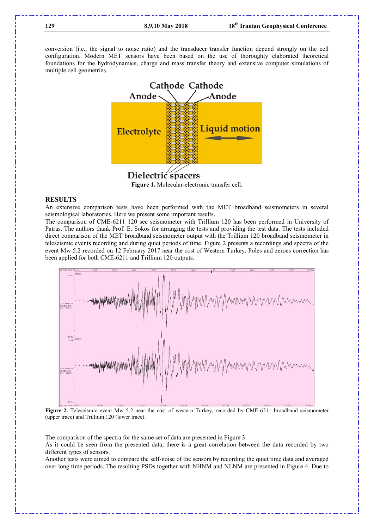conversion (i.e., the signal to noise ratio) and the transducer transfer function depend strongly on the cell configuration. Modern MET sensors have been based on the use of thoroughly elaborated theoretical foundations for the hydrodynamics, charge and mass transfer theory and extensive computer simulations of multiple cell geometries.



Dielectric spacers Figure 1. Molecular-electronic transfer cell.

#### RESULTS

An extensive comparison tests have been performed with the MET broadband seismometers in several seismological laboratories. Here we present some important results.

The comparison of CME-6211 120 sec seismometer with Trillium 120 has been performed in University of Patras. The authors thank Prof. E. Sokos for arranging the tests and providing the test data. The tests included direct comparison of the MET broadband seismometer output with the Trillium 120 broadband seismometer in teleseismic events recording and during quiet periods of time. Figure 2 presents a recordings and spectra of the event Mw 5.2 recorded on 12 February 2017 near the cost of Western Turkey. Poles and zeroes correction has been applied for both CME-6211 and Trillium 120 outputs.



Figure 2. Teleseismic event Mw 5.2 near the cost of western Turkey, recorded by CME-6211 broadband seismometer (upper trace) and Trillium 120 (lower trace).

The comparison of the spectra for the same set of data are presented in Figure 3.

As it could be seen from the presented data, there is a great correlation between the data recorded by two different types of sensors.

Another tests were aimed to compare the self-noise of the sensors by recording the quiet time data and averaged over long time periods. The resulting PSDs together with NHNM and NLNM are presented in Figure 4. Due to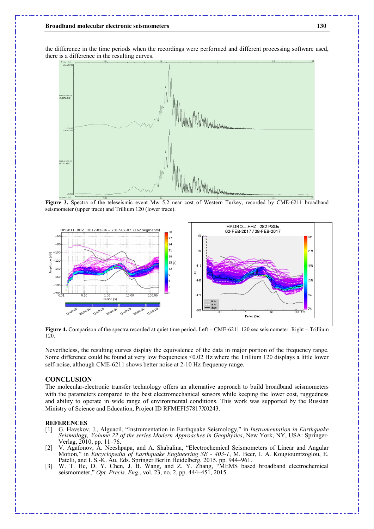#### Broadband molecular electronic seismometers 130

the difference in the time periods when the recordings were performed and different processing software used, there is a difference in the resulting curves.



Figure 3. Spectra of the teleseismic event Mw 5.2 near cost of Western Turkey, recorded by CME-6211 broadband seismometer (upper trace) and Trillium 120 (lower trace).



Figure 4. Comparison of the spectra recorded at quiet time period. Left – CME-6211 120 sec seismometer. Right – Trillium 120.

Nevertheless, the resulting curves display the equivalence of the data in major portion of the frequency range. Some difference could be found at very low frequencies <0.02 Hz where the Trillium 120 displays a little lower self-noise, although CME-6211 shows better noise at 2-10 Hz frequency range.

#### **CONCLUSION**

The molecular-electronic transfer technology offers an alternative approach to build broadband seismometers with the parameters compared to the best electromechanical sensors while keeping the lower cost, ruggedness and ability to operate in wide range of environmental conditions. This work was supported by the Russian Ministry of Science and Education, Project ID RFMEFI57817X0243.

### **REFERENCES**

- [1] G. Havskov, J., Alguacil, "Instrumentation in Earthquake Seismology," in Instrumentation in Earthquake Seismology, Volume 22 of the series Modern Approaches in Geophysics, New York, NY, USA: Springer-Verlag, 2010, pp. 11–76.
- [2] V. Agafonov, A. Neeshpapa, and A. Shabalina, "Electrochemical Seismometers of Linear and Angular Motion," in *Encyclopedia of Earthquake Engineering SE - 403-1*, M. Beer, I. A. Kougioumtzoglou, E. Patelli, and I. S.-K. Au, Eds. Springer Berlin Heidelberg, 2015, pp. 944–961.
- [3] W. T. He, D. Y. Chen, J. B. Wang, and Z. Y. Zhang, "MEMS based broadband electrochemical seismometer," Opt. Precis. Eng., vol. 23, no. 2, pp. 444–451, 2015.